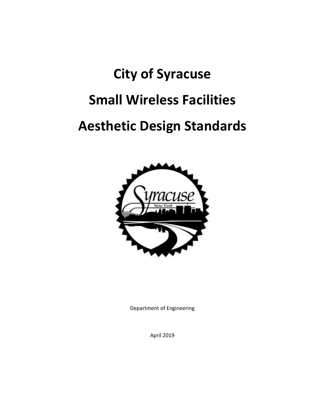# **City of Syracuse**

# **Small Wireless Facilities**

# **Aesthetic Design Standards**



Department of Engineering

April 2019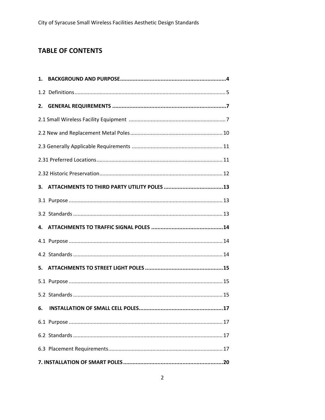## **TABLE OF CONTENTS**

| 2. |  |
|----|--|
|    |  |
|    |  |
|    |  |
|    |  |
|    |  |
|    |  |
|    |  |
|    |  |
|    |  |
|    |  |
|    |  |
|    |  |
| 5. |  |
|    |  |
|    |  |
| 6. |  |
|    |  |
|    |  |
|    |  |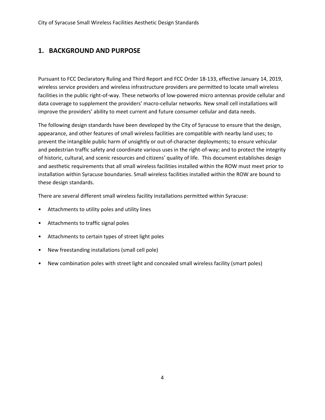## **1. BACKGROUND AND PURPOSE**

Pursuant to FCC Declaratory Ruling and Third Report and FCC Order 18-133, effective January 14, 2019, wireless service providers and wireless infrastructure providers are permitted to locate small wireless facilities in the public right-of-way. These networks of low-powered micro antennas provide cellular and data coverage to supplement the providers' macro-cellular networks. New small cell installations will improve the providers' ability to meet current and future consumer cellular and data needs.

The following design standards have been developed by the City of Syracuse to ensure that the design, appearance, and other features of small wireless facilities are compatible with nearby land uses; to prevent the intangible public harm of unsightly or out-of-character deployments; to ensure vehicular and pedestrian traffic safety and coordinate various uses in the right-of-way; and to protect the integrity of historic, cultural, and scenic resources and citizens' quality of life. This document establishes design and aesthetic requirements that all small wireless facilities installed within the ROW must meet prior to installation within Syracuse boundaries. Small wireless facilities installed within the ROW are bound to these design standards.

There are several different small wireless facility installations permitted within Syracuse:

- Attachments to utility poles and utility lines
- Attachments to traffic signal poles
- Attachments to certain types of street light poles
- New freestanding installations (small cell pole)
- New combination poles with street light and concealed small wireless facility (smart poles)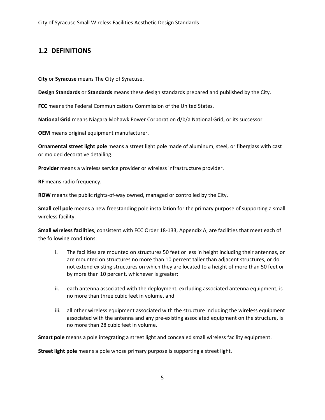## **1.2 DEFINITIONS**

**City** or **Syracuse** means The City of Syracuse.

**Design Standards** or **Standards** means these design standards prepared and published by the City.

**FCC** means the Federal Communications Commission of the United States.

**National Grid** means Niagara Mohawk Power Corporation d/b/a National Grid, or its successor.

**OEM** means original equipment manufacturer.

**Ornamental street light pole** means a street light pole made of aluminum, steel, or fiberglass with cast or molded decorative detailing.

**Provider** means a wireless service provider or wireless infrastructure provider.

**RF** means radio frequency.

**ROW** means the public rights-of-way owned, managed or controlled by the City.

**Small cell pole** means a new freestanding pole installation for the primary purpose of supporting a small wireless facility.

**Small wireless facilities**, consistent with FCC Order 18-133, Appendix A, are facilities that meet each of the following conditions:

- i. The facilities are mounted on structures 50 feet or less in height including their antennas, or are mounted on structures no more than 10 percent taller than adjacent structures, or do not extend existing structures on which they are located to a height of more than 50 feet or by more than 10 percent, whichever is greater;
- ii. each antenna associated with the deployment, excluding associated antenna equipment, is no more than three cubic feet in volume, and
- iii. all other wireless equipment associated with the structure including the wireless equipment associated with the antenna and any pre-existing associated equipment on the structure, is no more than 28 cubic feet in volume.

**Smart pole** means a pole integrating a street light and concealed small wireless facility equipment.

**Street light pole** means a pole whose primary purpose is supporting a street light.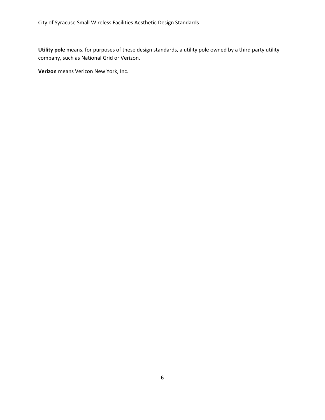**Utility pole** means, for purposes of these design standards, a utility pole owned by a third party utility company, such as National Grid or Verizon.

**Verizon** means Verizon New York, Inc.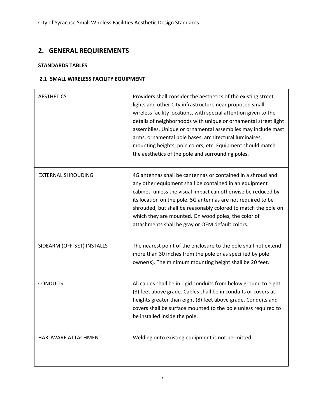## **2. GENERAL REQUIREMENTS**

#### **STANDARDS TABLES**

#### **2.1 SMALL WIRELESS FACILITY EQUIPMENT**

| <b>AESTHETICS</b>          | Providers shall consider the aesthetics of the existing street<br>lights and other City infrastructure near proposed small<br>wireless facility locations, with special attention given to the<br>details of neighborhoods with unique or ornamental street light<br>assemblies. Unique or ornamental assemblies may include mast<br>arms, ornamental pole bases, architectural luminaires,<br>mounting heights, pole colors, etc. Equipment should match<br>the aesthetics of the pole and surrounding poles. |
|----------------------------|----------------------------------------------------------------------------------------------------------------------------------------------------------------------------------------------------------------------------------------------------------------------------------------------------------------------------------------------------------------------------------------------------------------------------------------------------------------------------------------------------------------|
| <b>EXTERNAL SHROUDING</b>  | 4G antennas shall be cantennas or contained in a shroud and<br>any other equipment shall be contained in an equipment<br>cabinet, unless the visual impact can otherwise be reduced by<br>its location on the pole. 5G antennas are not required to be<br>shrouded, but shall be reasonably colored to match the pole on<br>which they are mounted. On wood poles, the color of<br>attachments shall be gray or OEM default colors.                                                                            |
| SIDEARM (OFF-SET) INSTALLS | The nearest point of the enclosure to the pole shall not extend<br>more than 30 inches from the pole or as specified by pole<br>owner(s). The minimum mounting height shall be 20 feet.                                                                                                                                                                                                                                                                                                                        |
| <b>CONDUITS</b>            | All cables shall be in rigid conduits from below ground to eight<br>(8) feet above grade. Cables shall be in conduits or covers at<br>heights greater than eight (8) feet above grade. Conduits and<br>covers shall be surface mounted to the pole unless required to<br>be installed inside the pole.                                                                                                                                                                                                         |
| HARDWARE ATTACHMENT        | Welding onto existing equipment is not permitted.                                                                                                                                                                                                                                                                                                                                                                                                                                                              |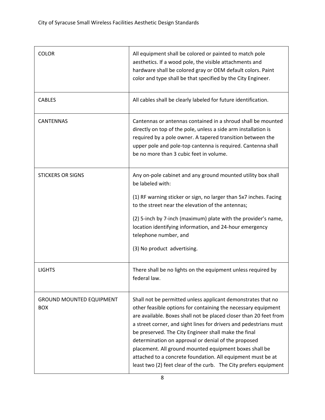| <b>COLOR</b>                                  | All equipment shall be colored or painted to match pole<br>aesthetics. If a wood pole, the visible attachments and<br>hardware shall be colored gray or OEM default colors. Paint<br>color and type shall be that specified by the City Engineer.                                                                                                                                                                                                                                                                                                                                   |
|-----------------------------------------------|-------------------------------------------------------------------------------------------------------------------------------------------------------------------------------------------------------------------------------------------------------------------------------------------------------------------------------------------------------------------------------------------------------------------------------------------------------------------------------------------------------------------------------------------------------------------------------------|
| <b>CABLES</b>                                 | All cables shall be clearly labeled for future identification.                                                                                                                                                                                                                                                                                                                                                                                                                                                                                                                      |
| <b>CANTENNAS</b>                              | Cantennas or antennas contained in a shroud shall be mounted<br>directly on top of the pole, unless a side arm installation is<br>required by a pole owner. A tapered transition between the<br>upper pole and pole-top cantenna is required. Cantenna shall<br>be no more than 3 cubic feet in volume.                                                                                                                                                                                                                                                                             |
| <b>STICKERS OR SIGNS</b>                      | Any on-pole cabinet and any ground mounted utility box shall<br>be labeled with:                                                                                                                                                                                                                                                                                                                                                                                                                                                                                                    |
|                                               | (1) RF warning sticker or sign, no larger than 5x7 inches. Facing<br>to the street near the elevation of the antennas;                                                                                                                                                                                                                                                                                                                                                                                                                                                              |
|                                               | (2) 5-inch by 7-inch (maximum) plate with the provider's name,<br>location identifying information, and 24-hour emergency<br>telephone number, and                                                                                                                                                                                                                                                                                                                                                                                                                                  |
|                                               | (3) No product advertising.                                                                                                                                                                                                                                                                                                                                                                                                                                                                                                                                                         |
| <b>LIGHTS</b>                                 | There shall be no lights on the equipment unless required by<br>federal law.                                                                                                                                                                                                                                                                                                                                                                                                                                                                                                        |
| <b>GROUND MOUNTED EQUIPMENT</b><br><b>BOX</b> | Shall not be permitted unless applicant demonstrates that no<br>other feasible options for containing the necessary equipment<br>are available. Boxes shall not be placed closer than 20 feet from<br>a street corner, and sight lines for drivers and pedestrians must<br>be preserved. The City Engineer shall make the final<br>determination on approval or denial of the proposed<br>placement. All ground mounted equipment boxes shall be<br>attached to a concrete foundation. All equipment must be at<br>least two (2) feet clear of the curb. The City prefers equipment |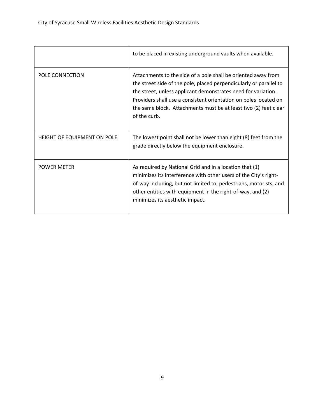|                             | to be placed in existing underground vaults when available.                                                                                                                                                                                                                                                                                                 |
|-----------------------------|-------------------------------------------------------------------------------------------------------------------------------------------------------------------------------------------------------------------------------------------------------------------------------------------------------------------------------------------------------------|
| POLE CONNECTION             | Attachments to the side of a pole shall be oriented away from<br>the street side of the pole, placed perpendicularly or parallel to<br>the street, unless applicant demonstrates need for variation.<br>Providers shall use a consistent orientation on poles located on<br>the same block. Attachments must be at least two (2) feet clear<br>of the curb. |
| HEIGHT OF EQUIPMENT ON POLE | The lowest point shall not be lower than eight (8) feet from the<br>grade directly below the equipment enclosure.                                                                                                                                                                                                                                           |
| <b>POWER METER</b>          | As required by National Grid and in a location that (1)<br>minimizes its interference with other users of the City's right-<br>of-way including, but not limited to, pedestrians, motorists, and<br>other entities with equipment in the right-of-way, and (2)<br>minimizes its aesthetic impact.                                                           |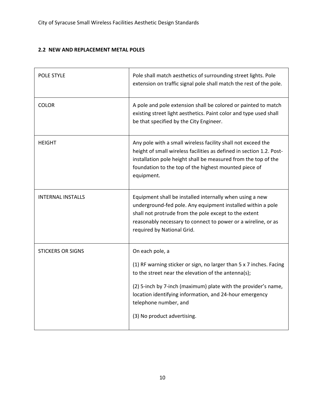#### **2.2 NEW AND REPLACEMENT METAL POLES**

| POLE STYLE               | Pole shall match aesthetics of surrounding street lights. Pole<br>extension on traffic signal pole shall match the rest of the pole.                                                                                                                                            |
|--------------------------|---------------------------------------------------------------------------------------------------------------------------------------------------------------------------------------------------------------------------------------------------------------------------------|
| <b>COLOR</b>             | A pole and pole extension shall be colored or painted to match<br>existing street light aesthetics. Paint color and type used shall<br>be that specified by the City Engineer.                                                                                                  |
| <b>HEIGHT</b>            | Any pole with a small wireless facility shall not exceed the<br>height of small wireless facilities as defined in section 1.2. Post-<br>installation pole height shall be measured from the top of the<br>foundation to the top of the highest mounted piece of<br>equipment.   |
| <b>INTERNAL INSTALLS</b> | Equipment shall be installed internally when using a new<br>underground-fed pole. Any equipment installed within a pole<br>shall not protrude from the pole except to the extent<br>reasonably necessary to connect to power or a wireline, or as<br>required by National Grid. |
| <b>STICKERS OR SIGNS</b> | On each pole, a                                                                                                                                                                                                                                                                 |
|                          | (1) RF warning sticker or sign, no larger than 5 x 7 inches. Facing<br>to the street near the elevation of the antenna(s);                                                                                                                                                      |
|                          | (2) 5-inch by 7-inch (maximum) plate with the provider's name,<br>location identifying information, and 24-hour emergency<br>telephone number, and                                                                                                                              |
|                          | (3) No product advertising.                                                                                                                                                                                                                                                     |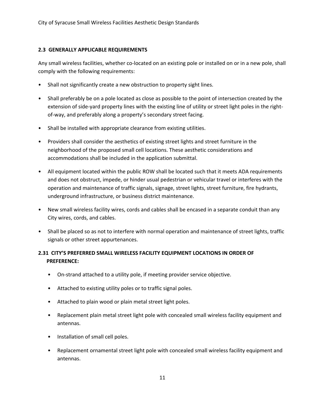#### **2.3 GENERALLY APPLICABLE REQUIREMENTS**

Any small wireless facilities, whether co-located on an existing pole or installed on or in a new pole, shall comply with the following requirements:

- Shall not significantly create a new obstruction to property sight lines.
- Shall preferably be on a pole located as close as possible to the point of intersection created by the extension of side-yard property lines with the existing line of utility or street light poles in the rightof-way, and preferably along a property's secondary street facing.
- Shall be installed with appropriate clearance from existing utilities.
- Providers shall consider the aesthetics of existing street lights and street furniture in the neighborhood of the proposed small cell locations. These aesthetic considerations and accommodations shall be included in the application submittal.
- All equipment located within the public ROW shall be located such that it meets ADA requirements and does not obstruct, impede, or hinder usual pedestrian or vehicular travel or interferes with the operation and maintenance of traffic signals, signage, street lights, street furniture, fire hydrants, underground infrastructure, or business district maintenance.
- New small wireless facility wires, cords and cables shall be encased in a separate conduit than any City wires, cords, and cables.
- Shall be placed so as not to interfere with normal operation and maintenance of street lights, traffic signals or other street appurtenances.

### **2.31 CITY'S PREFERRED SMALL WIRELESS FACILITY EQUIPMENT LOCATIONS IN ORDER OF PREFERENCE:**

- On-strand attached to a utility pole, if meeting provider service objective.
- Attached to existing utility poles or to traffic signal poles.
- Attached to plain wood or plain metal street light poles.
- Replacement plain metal street light pole with concealed small wireless facility equipment and antennas.
- Installation of small cell poles.
- Replacement ornamental street light pole with concealed small wireless facility equipment and antennas.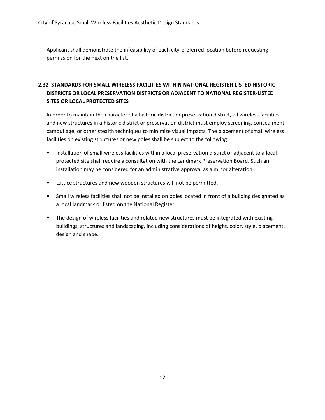Applicant shall demonstrate the infeasibility of each city-preferred location before requesting permission for the next on the list.

### **2.32 STANDARDS FOR SMALL WIRELESS FACILITIES WITHIN NATIONAL REGISTER-LISTED HISTORIC DISTRICTS OR LOCAL PRESERVATION DISTRICTS OR ADJACENT TO NATIONAL REGISTER-LISTED SITES OR LOCAL PROTECTED SITES**

In order to maintain the character of a historic district or preservation district, all wireless facilities and new structures in a historic district or preservation district must employ screening, concealment, camouflage, or other stealth techniques to minimize visual impacts. The placement of small wireless facilities on existing structures or new poles shall be subject to the following:

- Installation of small wireless facilities within a local preservation district or adjacent to a local protected site shall require a consultation with the Landmark Preservation Board. Such an installation may be considered for an administrative approval as a minor alteration.
- Lattice structures and new wooden structures will not be permitted.
- Small wireless facilities shall not be installed on poles located in front of a building designated as a local landmark or listed on the National Register.
- The design of wireless facilities and related new structures must be integrated with existing buildings, structures and landscaping, including considerations of height, color, style, placement, design and shape.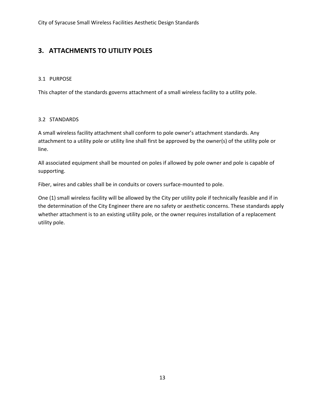## **3. ATTACHMENTS TO UTILITY POLES**

#### 3.1 PURPOSE

This chapter of the standards governs attachment of a small wireless facility to a utility pole.

#### 3.2 STANDARDS

A small wireless facility attachment shall conform to pole owner's attachment standards. Any attachment to a utility pole or utility line shall first be approved by the owner(s) of the utility pole or line.

All associated equipment shall be mounted on poles if allowed by pole owner and pole is capable of supporting.

Fiber, wires and cables shall be in conduits or covers surface-mounted to pole.

One (1) small wireless facility will be allowed by the City per utility pole if technically feasible and if in the determination of the City Engineer there are no safety or aesthetic concerns. These standards apply whether attachment is to an existing utility pole, or the owner requires installation of a replacement utility pole.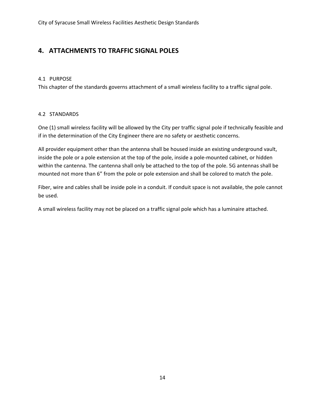## **4. ATTACHMENTS TO TRAFFIC SIGNAL POLES**

#### 4.1 PURPOSE

This chapter of the standards governs attachment of a small wireless facility to a traffic signal pole.

#### 4.2 STANDARDS

One (1) small wireless facility will be allowed by the City per traffic signal pole if technically feasible and if in the determination of the City Engineer there are no safety or aesthetic concerns.

All provider equipment other than the antenna shall be housed inside an existing underground vault, inside the pole or a pole extension at the top of the pole, inside a pole-mounted cabinet, or hidden within the cantenna. The cantenna shall only be attached to the top of the pole. 5G antennas shall be mounted not more than 6" from the pole or pole extension and shall be colored to match the pole.

Fiber, wire and cables shall be inside pole in a conduit. If conduit space is not available, the pole cannot be used.

A small wireless facility may not be placed on a traffic signal pole which has a luminaire attached.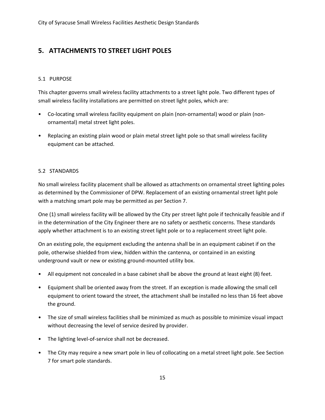## **5. ATTACHMENTS TO STREET LIGHT POLES**

#### 5.1 PURPOSE

This chapter governs small wireless facility attachments to a street light pole. Two different types of small wireless facility installations are permitted on street light poles, which are:

- Co-locating small wireless facility equipment on plain (non-ornamental) wood or plain (nonornamental) metal street light poles.
- Replacing an existing plain wood or plain metal street light pole so that small wireless facility equipment can be attached.

#### 5.2 STANDARDS

No small wireless facility placement shall be allowed as attachments on ornamental street lighting poles as determined by the Commissioner of DPW. Replacement of an existing ornamental street light pole with a matching smart pole may be permitted as per Section 7.

One (1) small wireless facility will be allowed by the City per street light pole if technically feasible and if in the determination of the City Engineer there are no safety or aesthetic concerns. These standards apply whether attachment is to an existing street light pole or to a replacement street light pole.

On an existing pole, the equipment excluding the antenna shall be in an equipment cabinet if on the pole, otherwise shielded from view, hidden within the cantenna, or contained in an existing underground vault or new or existing ground-mounted utility box.

- All equipment not concealed in a base cabinet shall be above the ground at least eight (8) feet.
- Equipment shall be oriented away from the street. If an exception is made allowing the small cell equipment to orient toward the street, the attachment shall be installed no less than 16 feet above the ground.
- The size of small wireless facilities shall be minimized as much as possible to minimize visual impact without decreasing the level of service desired by provider.
- The lighting level-of-service shall not be decreased.
- The City may require a new smart pole in lieu of collocating on a metal street light pole. See Section 7 for smart pole standards.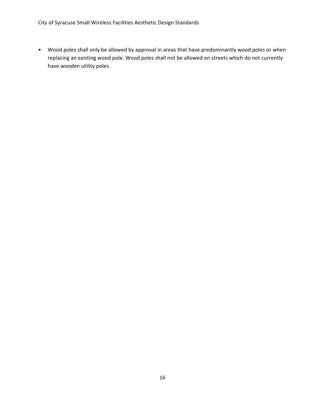• Wood poles shall only be allowed by approval in areas that have predominantly wood poles or when replacing an existing wood pole. Wood poles shall not be allowed on streets which do not currently have wooden utility poles.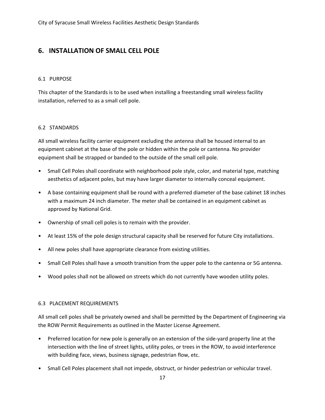## **6. INSTALLATION OF SMALL CELL POLE**

#### 6.1 PURPOSE

This chapter of the Standards is to be used when installing a freestanding small wireless facility installation, referred to as a small cell pole.

#### 6.2 STANDARDS

All small wireless facility carrier equipment excluding the antenna shall be housed internal to an equipment cabinet at the base of the pole or hidden within the pole or cantenna. No provider equipment shall be strapped or banded to the outside of the small cell pole.

- Small Cell Poles shall coordinate with neighborhood pole style, color, and material type, matching aesthetics of adjacent poles, but may have larger diameter to internally conceal equipment.
- A base containing equipment shall be round with a preferred diameter of the base cabinet 18 inches with a maximum 24 inch diameter. The meter shall be contained in an equipment cabinet as approved by National Grid.
- Ownership of small cell poles is to remain with the provider.
- At least 15% of the pole design structural capacity shall be reserved for future City installations.
- All new poles shall have appropriate clearance from existing utilities.
- Small Cell Poles shall have a smooth transition from the upper pole to the cantenna or 5G antenna.
- Wood poles shall not be allowed on streets which do not currently have wooden utility poles.

#### 6.3 PLACEMENT REQUIREMENTS

All small cell poles shall be privately owned and shall be permitted by the Department of Engineering via the ROW Permit Requirements as outlined in the Master License Agreement.

- Preferred location for new pole is generally on an extension of the side-yard property line at the intersection with the line of street lights, utility poles, or trees in the ROW, to avoid interference with building face, views, business signage, pedestrian flow, etc.
- Small Cell Poles placement shall not impede, obstruct, or hinder pedestrian or vehicular travel.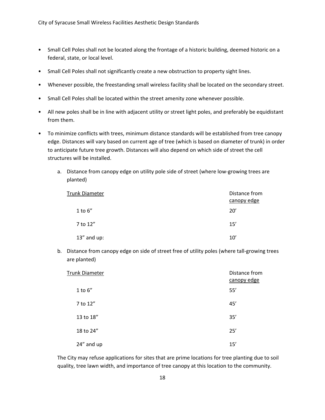- Small Cell Poles shall not be located along the frontage of a historic building, deemed historic on a federal, state, or local level.
- Small Cell Poles shall not significantly create a new obstruction to property sight lines.
- Whenever possible, the freestanding small wireless facility shall be located on the secondary street.
- Small Cell Poles shall be located within the street amenity zone whenever possible.
- All new poles shall be in line with adjacent utility or street light poles, and preferably be equidistant from them.
- To minimize conflicts with trees, minimum distance standards will be established from tree canopy edge. Distances will vary based on current age of tree (which is based on diameter of trunk) in order to anticipate future tree growth. Distances will also depend on which side of street the cell structures will be installed.
	- a. Distance from canopy edge on utility pole side of street (where low-growing trees are planted)

| Trunk Diameter | Distance from<br>canopy edge |
|----------------|------------------------------|
| $1$ to $6''$   | 20'                          |
| 7 to 12"       | 15'                          |
| $13''$ and up: | 10'                          |

b. Distance from canopy edge on side of street free of utility poles (where tall-growing trees are planted)

| Trunk Diameter | Distance from<br>canopy edge |
|----------------|------------------------------|
| 1 to $6''$     | 55'                          |
| 7 to 12"       | 45'                          |
| 13 to 18"      | 35'                          |
| 18 to 24"      | 25'                          |
| 24" and up     | 15'                          |

The City may refuse applications for sites that are prime locations for tree planting due to soil quality, tree lawn width, and importance of tree canopy at this location to the community.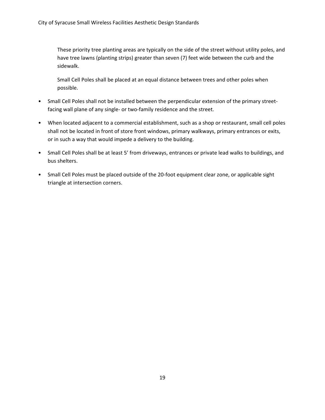These priority tree planting areas are typically on the side of the street without utility poles, and have tree lawns (planting strips) greater than seven (7) feet wide between the curb and the sidewalk.

Small Cell Poles shall be placed at an equal distance between trees and other poles when possible.

- Small Cell Poles shall not be installed between the perpendicular extension of the primary streetfacing wall plane of any single- or two-family residence and the street.
- When located adjacent to a commercial establishment, such as a shop or restaurant, small cell poles shall not be located in front of store front windows, primary walkways, primary entrances or exits, or in such a way that would impede a delivery to the building.
- Small Cell Poles shall be at least 5' from driveways, entrances or private lead walks to buildings, and bus shelters.
- Small Cell Poles must be placed outside of the 20-foot equipment clear zone, or applicable sight triangle at intersection corners.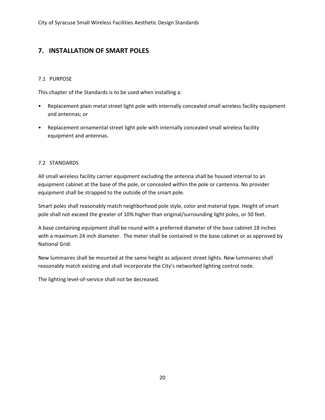## **7. INSTALLATION OF SMART POLES**

#### 7.1 PURPOSE

This chapter of the Standards is to be used when installing a:

- Replacement plain metal street light pole with internally concealed small wireless facility equipment and antennas; or
- Replacement ornamental street light pole with internally concealed small wireless facility equipment and antennas.

#### 7.2 STANDARDS

All small wireless facility carrier equipment excluding the antenna shall be housed internal to an equipment cabinet at the base of the pole, or concealed within the pole or cantenna. No provider equipment shall be strapped to the outside of the smart pole.

Smart poles shall reasonably match neighborhood pole style, color and material type. Height of smart pole shall not exceed the greater of 10% higher than original/surrounding light poles, or 50 feet.

A base containing equipment shall be round with a preferred diameter of the base cabinet 18 inches with a maximum 24 inch diameter. The meter shall be contained in the base cabinet or as approved by National Grid.

New luminaires shall be mounted at the same height as adjacent street lights. New luminaires shall reasonably match existing and shall incorporate the City's networked lighting control node.

The lighting level-of-service shall not be decreased.